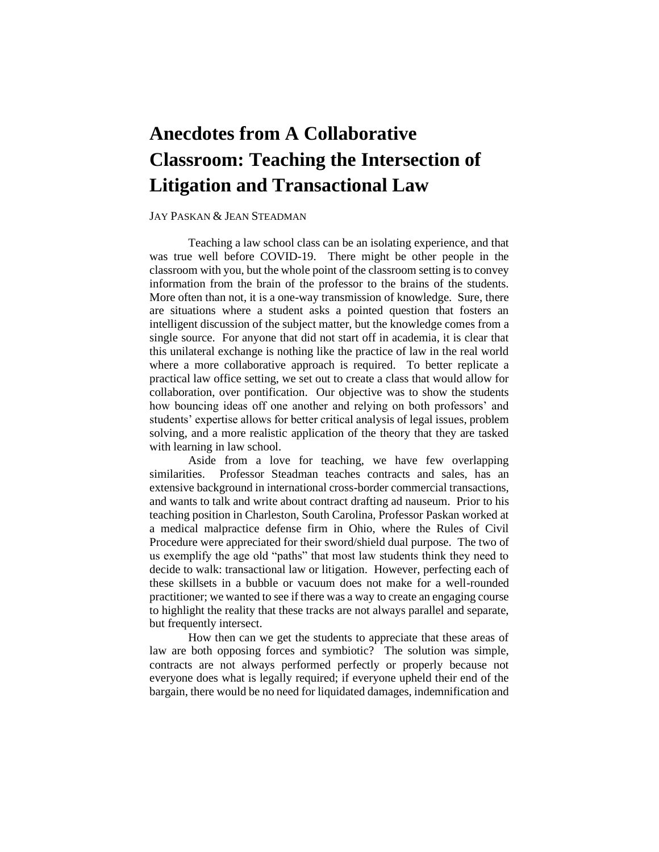# **Anecdotes from A Collaborative Classroom: Teaching the Intersection of Litigation and Transactional Law**

# JAY PASKAN & JEAN STEADMAN

 Teaching a law school class can be an isolating experience, and that was true well before COVID-19. There might be other people in the classroom with you, but the whole point of the classroom setting is to convey information from the brain of the professor to the brains of the students. are situations where a student asks a pointed question that fosters an intelligent discussion of the subject matter, but the knowledge comes from a single source. For anyone that did not start off in academia, it is clear that this unilateral exchange is nothing like the practice of law in the real world where a more collaborative approach is required. To better replicate a practical law office setting, we set out to create a class that would allow for collaboration, over pontification. Our objective was to show the students how bouncing ideas off one another and relying on both professors' and students' expertise allows for better critical analysis of legal issues, problem solving, and a more realistic application of the theory that they are tasked More often than not, it is a one-way transmission of knowledge. Sure, there with learning in law school.

 Aside from a love for teaching, we have few overlapping similarities. Professor Steadman teaches contracts and sales, has an extensive background in international cross-border commercial transactions, teaching position in Charleston, South Carolina, Professor Paskan worked at a medical malpractice defense firm in Ohio, where the Rules of Civil Procedure were appreciated for their sword/shield dual purpose. The two of us exemplify the age old "paths" that most law students think they need to these skillsets in a bubble or vacuum does not make for a well-rounded practitioner; we wanted to see if there was a way to create an engaging course and wants to talk and write about contract drafting ad nauseum. Prior to his decide to walk: transactional law or litigation. However, perfecting each of to highlight the reality that these tracks are not always parallel and separate, but frequently intersect.

 law are both opposing forces and symbiotic? The solution was simple, everyone does what is legally required; if everyone upheld their end of the How then can we get the students to appreciate that these areas of contracts are not always performed perfectly or properly because not bargain, there would be no need for liquidated damages, indemnification and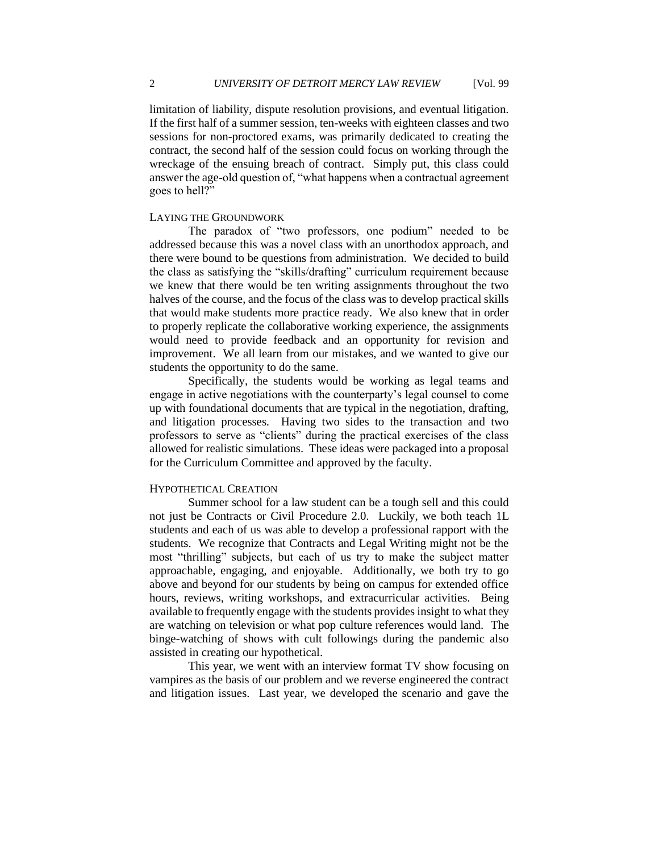limitation of liability, dispute resolution provisions, and eventual litigation. If the first half of a summer session, ten-weeks with eighteen classes and two sessions for non-proctored exams, was primarily dedicated to creating the contract, the second half of the session could focus on working through the wreckage of the ensuing breach of contract. Simply put, this class could answer the age-old question of, "what happens when a contractual agreement goes to hell?"

#### LAYING THE GROUNDWORK

 addressed because this was a novel class with an unorthodox approach, and the class as satisfying the "skills/drafting" curriculum requirement because we knew that there would be ten writing assignments throughout the two halves of the course, and the focus of the class was to develop practical skills that would make students more practice ready. We also knew that in order would need to provide feedback and an opportunity for revision and improvement. We all learn from our mistakes, and we wanted to give our The paradox of "two professors, one podium" needed to be there were bound to be questions from administration. We decided to build to properly replicate the collaborative working experience, the assignments students the opportunity to do the same.

 Specifically, the students would be working as legal teams and engage in active negotiations with the counterparty's legal counsel to come and litigation processes. Having two sides to the transaction and two professors to serve as "clients" during the practical exercises of the class allowed for realistic simulations. These ideas were packaged into a proposal up with foundational documents that are typical in the negotiation, drafting, for the Curriculum Committee and approved by the faculty.

#### HYPOTHETICAL CREATION

 Summer school for a law student can be a tough sell and this could not just be Contracts or Civil Procedure 2.0. Luckily, we both teach 1L students and each of us was able to develop a professional rapport with the students. We recognize that Contracts and Legal Writing might not be the most "thrilling" subjects, but each of us try to make the subject matter above and beyond for our students by being on campus for extended office available to frequently engage with the students provides insight to what they are watching on television or what pop culture references would land. The approachable, engaging, and enjoyable. Additionally, we both try to go hours, reviews, writing workshops, and extracurricular activities. Being binge-watching of shows with cult followings during the pandemic also assisted in creating our hypothetical.

 This year, we went with an interview format TV show focusing on vampires as the basis of our problem and we reverse engineered the contract and litigation issues. Last year, we developed the scenario and gave the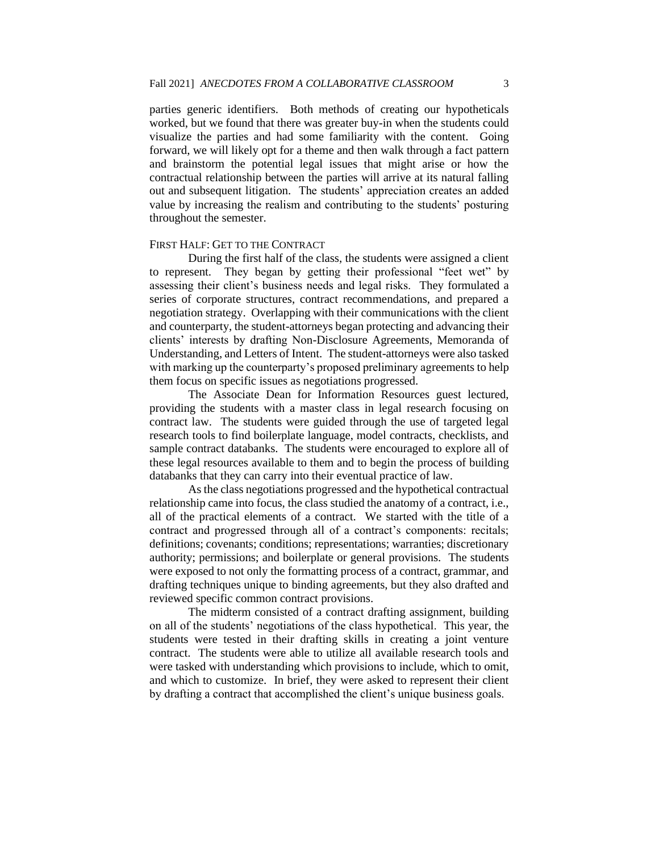visualize the parties and had some familiarity with the content. Going forward, we will likely opt for a theme and then walk through a fact pattern and brainstorm the potential legal issues that might arise or how the contractual relationship between the parties will arrive at its natural falling out and subsequent litigation. The students' appreciation creates an added value by increasing the realism and contributing to the students' posturing parties generic identifiers. Both methods of creating our hypotheticals worked, but we found that there was greater buy-in when the students could throughout the semester.

## FIRST HALF: GET TO THE CONTRACT

 During the first half of the class, the students were assigned a client to represent. They began by getting their professional "feet wet" by assessing their client's business needs and legal risks. They formulated a series of corporate structures, contract recommendations, and prepared a negotiation strategy. Overlapping with their communications with the client clients' interests by drafting Non-Disclosure Agreements, Memoranda of Understanding, and Letters of Intent. The student-attorneys were also tasked and counterparty, the student-attorneys began protecting and advancing their with marking up the counterparty's proposed preliminary agreements to help them focus on specific issues as negotiations progressed.

 The Associate Dean for Information Resources guest lectured, contract law. The students were guided through the use of targeted legal sample contract databanks. The students were encouraged to explore all of databanks that they can carry into their eventual practice of law. providing the students with a master class in legal research focusing on research tools to find boilerplate language, model contracts, checklists, and these legal resources available to them and to begin the process of building

 As the class negotiations progressed and the hypothetical contractual all of the practical elements of a contract. We started with the title of a contract and progressed through all of a contract's components: recitals; definitions; covenants; conditions; representations; warranties; discretionary authority; permissions; and boilerplate or general provisions. The students were exposed to not only the formatting process of a contract, grammar, and drafting techniques unique to binding agreements, but they also drafted and relationship came into focus, the class studied the anatomy of a contract, i.e., reviewed specific common contract provisions.

 The midterm consisted of a contract drafting assignment, building on all of the students' negotiations of the class hypothetical. This year, the students were tested in their drafting skills in creating a joint venture contract. The students were able to utilize all available research tools and and which to customize. In brief, they were asked to represent their client were tasked with understanding which provisions to include, which to omit, by drafting a contract that accomplished the client's unique business goals.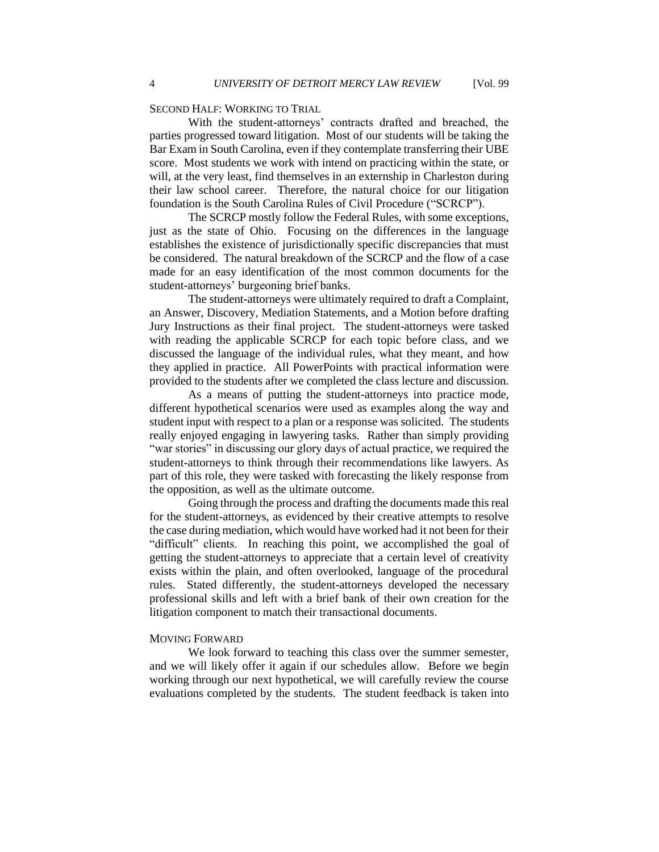# SECOND HALF: WORKING TO TRIAL

 Bar Exam in South Carolina, even if they contemplate transferring their UBE score. Most students we work with intend on practicing within the state, or will, at the very least, find themselves in an externship in Charleston during their law school career. Therefore, the natural choice for our litigation With the student-attorneys' contracts drafted and breached, the parties progressed toward litigation. Most of our students will be taking the foundation is the South Carolina Rules of Civil Procedure ("SCRCP").

 The SCRCP mostly follow the Federal Rules, with some exceptions, just as the state of Ohio. Focusing on the differences in the language establishes the existence of jurisdictionally specific discrepancies that must be considered. The natural breakdown of the SCRCP and the flow of a case made for an easy identification of the most common documents for the student-attorneys' burgeoning brief banks.

 an Answer, Discovery, Mediation Statements, and a Motion before drafting Jury Instructions as their final project. The student-attorneys were tasked discussed the language of the individual rules, what they meant, and how The student-attorneys were ultimately required to draft a Complaint, with reading the applicable SCRCP for each topic before class, and we they applied in practice. All PowerPoints with practical information were provided to the students after we completed the class lecture and discussion.

 As a means of putting the student-attorneys into practice mode, different hypothetical scenarios were used as examples along the way and student input with respect to a plan or a response was solicited. The students really enjoyed engaging in lawyering tasks. Rather than simply providing "war stories" in discussing our glory days of actual practice, we required the part of this role, they were tasked with forecasting the likely response from student-attorneys to think through their recommendations like lawyers. As the opposition, as well as the ultimate outcome.

 Going through the process and drafting the documents made this real for the student-attorneys, as evidenced by their creative attempts to resolve the case during mediation, which would have worked had it not been for their "difficult" clients. In reaching this point, we accomplished the goal of getting the student-attorneys to appreciate that a certain level of creativity exists within the plain, and often overlooked, language of the procedural professional skills and left with a brief bank of their own creation for the rules. Stated differently, the student-attorneys developed the necessary litigation component to match their transactional documents.

## MOVING FORWARD

 We look forward to teaching this class over the summer semester, and we will likely offer it again if our schedules allow. Before we begin working through our next hypothetical, we will carefully review the course evaluations completed by the students. The student feedback is taken into